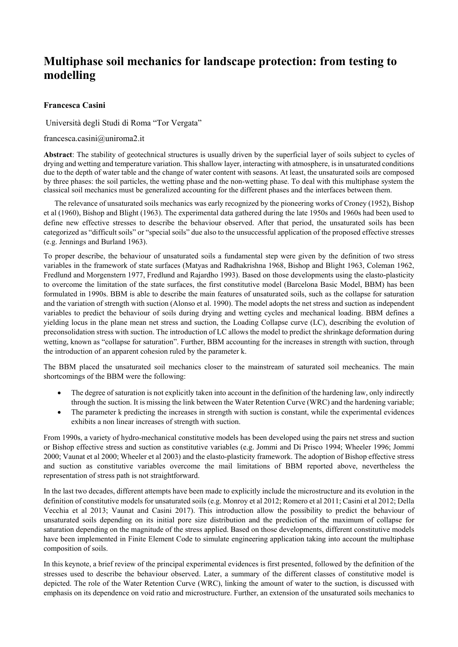# **Multiphase soil mechanics for landscape protection: from testing to modelling**

## **Francesca Casini**

Università degli Studi di Roma "Tor Vergata"

francesca.casini@uniroma2.it

**Abstract**: The stability of geotechnical structures is usually driven by the superficial layer of soils subject to cycles of drying and wetting and temperature variation. This shallow layer, interacting with atmosphere, is in unsaturated conditions due to the depth of water table and the change of water content with seasons. At least, the unsaturated soils are composed by three phases: the soil particles, the wetting phase and the non-wetting phase. To deal with this multiphase system the classical soil mechanics must be generalized accounting for the different phases and the interfaces between them.

The relevance of unsaturated soils mechanics was early recognized by the pioneering works of Croney (1952), Bishop et al (1960), Bishop and Blight (1963). The experimental data gathered during the late 1950s and 1960s had been used to define new effective stresses to describe the behaviour observed. After that period, the unsaturated soils has been categorized as "difficult soils" or "special soils" due also to the unsuccessful application of the proposed effective stresses (e.g. Jennings and Burland 1963).

To proper describe, the behaviour of unsaturated soils a fundamental step were given by the definition of two stress variables in the framework of state surfaces (Matyas and Radhakrishna 1968, Bishop and Blight 1963, Coleman 1962, Fredlund and Morgenstern 1977, Fredlund and Rajardho 1993). Based on those developments using the elasto-plasticity to overcome the limitation of the state surfaces, the first constitutive model (Barcelona Basic Model, BBM) has been formulated in 1990s. BBM is able to describe the main features of unsaturated soils, such as the collapse for saturation and the variation of strength with suction (Alonso et al. 1990). The model adopts the net stress and suction as independent variables to predict the behaviour of soils during drying and wetting cycles and mechanical loading. BBM defines a yielding locus in the plane mean net stress and suction, the Loading Collapse curve (LC), describing the evolution of preconsolidation stress with suction. The introduction of LC allows the model to predict the shrinkage deformation during wetting, known as "collapse for saturation". Further, BBM accounting for the increases in strength with suction, through the introduction of an apparent cohesion ruled by the parameter k.

The BBM placed the unsaturated soil mechanics closer to the mainstream of saturated soil mecheanics. The main shortcomings of the BBM were the following:

- The degree of saturation is not explicitly taken into account in the definition of the hardening law, only indirectly through the suction. It is missing the link between the Water Retention Curve (WRC) and the hardening variable;
- The parameter k predicting the increases in strength with suction is constant, while the experimental evidences exhibits a non linear increases of strength with suction.

From 1990s, a variety of hydro-mechanical constitutive models has been developed using the pairs net stress and suction or Bishop effective stress and suction as constitutive variables (e.g. Jommi and Di Prisco 1994; Wheeler 1996; Jommi 2000; Vaunat et al 2000; Wheeler et al 2003) and the elasto-plasticity framework. The adoption of Bishop effective stress and suction as constitutive variables overcome the mail limitations of BBM reported above, nevertheless the representation of stress path is not straightforward.

In the last two decades, different attempts have been made to explicitly include the microstructure and its evolution in the definition of constitutive models for unsaturated soils (e.g. Monroy et al 2012; Romero et al 2011; Casini et al 2012; Della Vecchia et al 2013; Vaunat and Casini 2017). This introduction allow the possibility to predict the behaviour of unsaturated soils depending on its initial pore size distribution and the prediction of the maximum of collapse for saturation depending on the magnitude of the stress applied. Based on those developments, different constitutive models have been implemented in Finite Element Code to simulate engineering application taking into account the multiphase composition of soils.

In this keynote, a brief review of the principal experimental evidences is first presented, followed by the definition of the stresses used to describe the behaviour observed. Later, a summary of the different classes of constitutive model is depicted. The role of the Water Retention Curve (WRC), linking the amount of water to the suction, is discussed with emphasis on its dependence on void ratio and microstructure. Further, an extension of the unsaturated soils mechanics to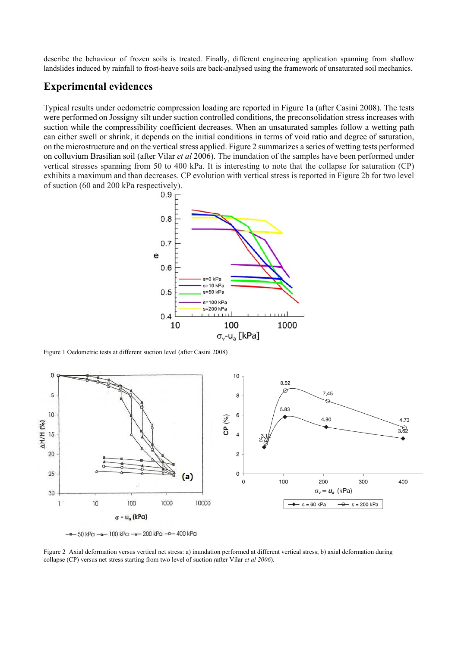describe the behaviour of frozen soils is treated. Finally, different engineering application spanning from shallow landslides induced by rainfall to frost-heave soils are back-analysed using the framework of unsaturated soil mechanics.

# **Experimental evidences**

Typical results under oedometric compression loading are reported in Figure 1a (after Casini 2008). The tests were performed on Jossigny silt under suction controlled conditions, the preconsolidation stress increases with suction while the compressibility coefficient decreases. When an unsaturated samples follow a wetting path can either swell or shrink, it depends on the initial conditions in terms of void ratio and degree of saturation, on the microstructure and on the vertical stress applied. Figure 2 summarizes a series of wetting tests performed on colluvium Brasilian soil (after Vilar *et al* 2006). The inundation of the samples have been performed under vertical stresses spanning from 50 to 400 kPa. It is interesting to note that the collapse for saturation (CP) exhibits a maximum and than decreases. CP evolution with vertical stress is reported in Figure 2b for two level of suction (60 and 200 kPa respectively).



Figure 1 Oedometric tests at different suction level (after Casini 2008)





Figure 2 Axial deformation versus vertical net stress: a) inundation performed at different vertical stress; b) axial deformation during collapse (CP) versus net stress starting from two level of suction *(*after Vilar *et al 2006*)*.*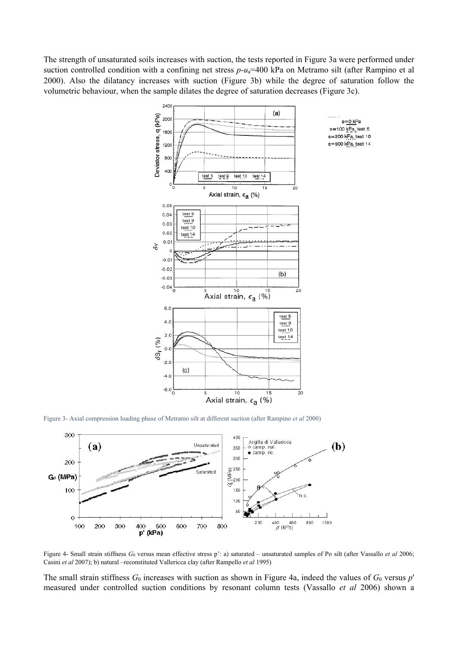The strength of unsaturated soils increases with suction, the tests reported in Figure 3a were performed under suction controlled condition with a confining net stress  $p-u_a=400$  kPa on Metramo silt (after Rampino et al 2000). Also the dilatancy increases with suction (Figure 3b) while the degree of saturation follow the volumetric behaviour, when the sample dilates the degree of saturation decreases (Figure 3c).



Figure 3- Axial compression loading phase of Metramo silt at different suction (after Rampino *et al* 2000)



Figure 4- Small strain stiffness  $G_0$  versus mean effective stress p': a) saturated – unsaturated samples of Po silt (after Vassallo *et al* 2006; Casini *et al* 2007); b) natural –reconstituted Vallericca clay (after Rampello *et al* 1995)

The small strain stiffness  $G_0$  increases with suction as shown in Figure 4a, indeed the values of  $G_0$  versus  $p'$ measured under controlled suction conditions by resonant column tests (Vassallo *et al* 2006) shown a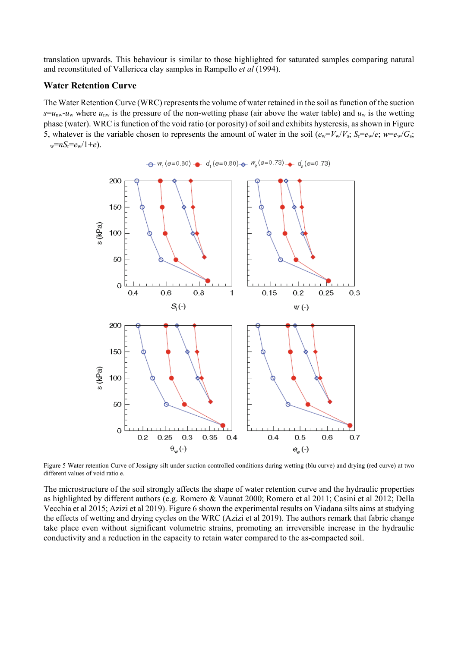translation upwards. This behaviour is similar to those highlighted for saturated samples comparing natural and reconstituted of Vallericca clay samples in Rampello *et al* (1994).

#### **Water Retention Curve**

The Water Retention Curve (WRC) represents the volume of water retained in the soil as function of the suction  $s = u_{\text{nw}} - u_{\text{w}}$  where  $u_{\text{nw}}$  is the pressure of the non-wetting phase (air above the water table) and  $u_{\text{w}}$  is the wetting phase (water). WRC is function of the void ratio (or porosity) of soil and exhibits hysteresis, as shown in Figure 5, whatever is the variable chosen to represents the amount of water in the soil  $(e_w = V_w/V_s; S_r = e_w/e; w = e_w/G_s;$  $w=nS_r=e_w/1+e$ .



 $\rightarrow W_1(e=0.80) - d_1(e=0.80) - W_2(e=0.73) - d_2(e=0.73)$ 

Figure 5 Water retention Curve of Jossigny silt under suction controlled conditions during wetting (blu curve) and drying (red curve) at two different values of void ratio e.

The microstructure of the soil strongly affects the shape of water retention curve and the hydraulic properties as highlighted by different authors (e.g. Romero & Vaunat 2000; Romero et al 2011; Casini et al 2012; Della Vecchia et al 2015; Azizi et al 2019). Figure 6 shown the experimental results on Viadana silts aims at studying the effects of wetting and drying cycles on the WRC (Azizi et al 2019). The authors remark that fabric change take place even without significant volumetric strains, promoting an irreversible increase in the hydraulic conductivity and a reduction in the capacity to retain water compared to the as-compacted soil.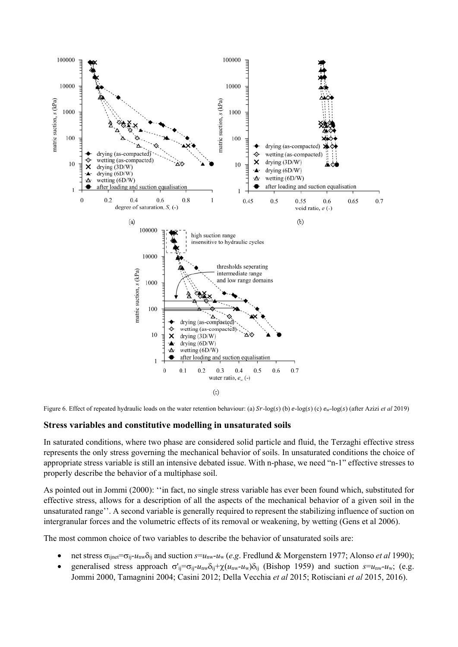

Figure 6. Effect of repeated hydraulic loads on the water retention behaviour: (a)  $Sr$ -log(s) (b)  $e$ -log(s) (c)  $e_w$ -log(s) (after Azizi *et al* 2019)

### **Stress variables and constitutive modelling in unsaturated soils**

In saturated conditions, where two phase are considered solid particle and fluid, the Terzaghi effective stress represents the only stress governing the mechanical behavior of soils. In unsaturated conditions the choice of appropriate stress variable is still an intensive debated issue. With n-phase, we need "n-1" effective stresses to properly describe the behavior of a multiphase soil.

As pointed out in Jommi (2000): ''in fact, no single stress variable has ever been found which, substituted for effective stress, allows for a description of all the aspects of the mechanical behavior of a given soil in the unsaturated range''. A second variable is generally required to represent the stabilizing influence of suction on intergranular forces and the volumetric effects of its removal or weakening, by wetting (Gens et al 2006).

The most common choice of two variables to describe the behavior of unsaturated soils are:

- net stress  $\sigma_{\text{ijnet}} = \sigma_{\text{ij}} u_{\text{nw}} \delta_{\text{ij}}$  and suction  $s = u_{\text{nw}} u_{\text{w}}$  (*e.g.* Fredlund & Morgenstern 1977; Alonso *et al* 1990);
- e generalised stress approach  $\sigma'_{ij} = \sigma_{ij} u_{nw} \delta_{ij} + \chi(u_{nw} u_w) \delta_{ij}$  (Bishop 1959) and suction  $s = u_{nw} u_w$ ; (e.g. Jommi 2000, Tamagnini 2004; Casini 2012; Della Vecchia *et al* 2015; Rotisciani *et al* 2015, 2016).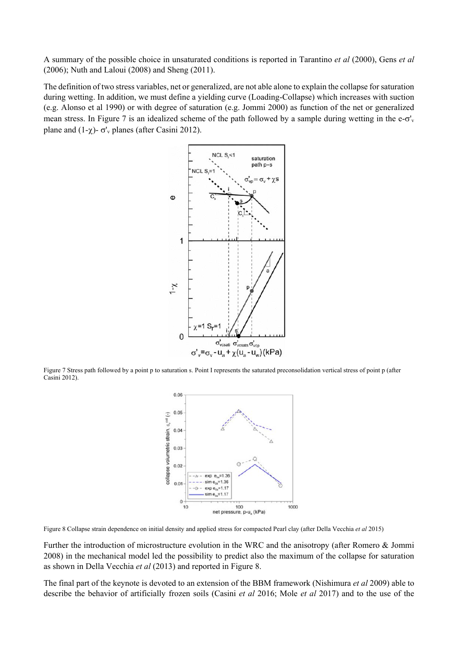A summary of the possible choice in unsaturated conditions is reported in Tarantino *et al* (2000), Gens *et al* (2006); Nuth and Laloui (2008) and Sheng (2011).

The definition of two stress variables, net or generalized, are not able alone to explain the collapse for saturation during wetting. In addition, we must define a yielding curve (Loading-Collapse) which increases with suction (e.g. Alonso et al 1990) or with degree of saturation (e.g. Jommi 2000) as function of the net or generalized mean stress. In Figure 7 is an idealized scheme of the path followed by a sample during wetting in the  $e$ - $\sigma'$ <sub>v</sub> plane and  $(1-\chi)-\sigma'$ <sub>v</sub> planes (after Casini 2012).



Figure 7 Stress path followed by a point p to saturation s. Point I represents the saturated preconsolidation vertical stress of point p (after Casini 2012).



Figure 8 Collapse strain dependence on initial density and applied stress for compacted Pearl clay (after Della Vecchia *et al* 2015)

Further the introduction of microstructure evolution in the WRC and the anisotropy (after Romero & Jommi 2008) in the mechanical model led the possibility to predict also the maximum of the collapse for saturation as shown in Della Vecchia *et al* (2013) and reported in Figure 8.

The final part of the keynote is devoted to an extension of the BBM framework (Nishimura *et al* 2009) able to describe the behavior of artificially frozen soils (Casini *et al* 2016; Mole *et al* 2017) and to the use of the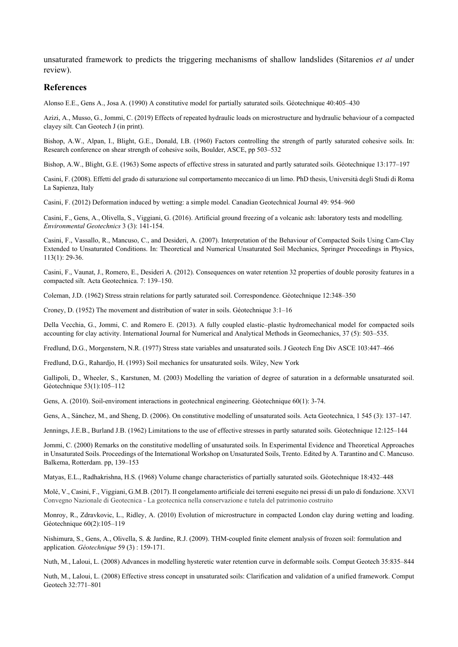unsaturated framework to predicts the triggering mechanisms of shallow landslides (Sitarenios *et al* under review).

#### **References**

Alonso E.E., Gens A., Josa A. (1990) A constitutive model for partially saturated soils. Géotechnique 40:405–430

Azizi, A., Musso, G., Jommi, C. (2019) Effects of repeated hydraulic loads on microstructure and hydraulic behaviour of a compacted clayey silt. Can Geotech J (in print).

Bishop, A.W., Alpan, I., Blight, G.E., Donald, I.B. (1960) Factors controlling the strength of partly saturated cohesive soils. In: Research conference on shear strength of cohesive soils, Boulder, ASCE, pp 503–532

Bishop, A.W., Blight, G.E. (1963) Some aspects of effective stress in saturated and partly saturated soils. Géotechnique 13:177–197

Casini, F. (2008). Effetti del grado di saturazione sul comportamento meccanico di un limo. PhD thesis, Università degli Studi di Roma La Sapienza, Italy

Casini, F. (2012) Deformation induced by wetting: a simple model. Canadian Geotechnical Journal 49: 954–960

Casini, F., Gens, A., Olivella, S., Viggiani, G. (2016). Artificial ground freezing of a volcanic ash: laboratory tests and modelling*. Environmental Geotechnics* 3 (3): 141-154.

Casini, F., Vassallo, R., Mancuso, C., and Desideri, A. (2007). Interpretation of the Behaviour of Compacted Soils Using Cam-Clay Extended to Unsaturated Conditions. In: Theoretical and Numerical Unsaturated Soil Mechanics, Springer Proceedings in Physics, 113(1): 29-36.

Casini, F., Vaunat, J., Romero, E., Desideri A. (2012). Consequences on water retention 32 properties of double porosity features in a compacted silt. Acta Geotechnica. 7: 139–150.

Coleman, J.D. (1962) Stress strain relations for partly saturated soil. Correspondence. Géotechnique 12:348–350

Croney, D. (1952) The movement and distribution of water in soils. Géotechnique 3:1–16

Della Vecchia, G., Jommi, C. and Romero E. (2013). A fully coupled elastic–plastic hydromechanical model for compacted soils accounting for clay activity. International Journal for Numerical and Analytical Methods in Geomechanics, 37 (5): 503–535.

Fredlund, D.G., Morgenstern, N.R. (1977) Stress state variables and unsaturated soils. J Geotech Eng Div ASCE 103:447–466

Fredlund, D.G., Rahardjo, H. (1993) Soil mechanics for unsaturated soils. Wiley, New York

Gallipoli, D., Wheeler, S., Karstunen, M. (2003) Modelling the variation of degree of saturation in a deformable unsaturated soil. Géotechnique 53(1):105–112

Gens, A. (2010). Soil-enviroment interactions in geotechnical engineering. Géotechnique 60(1): 3-74.

Gens, A., Sánchez, M., and Sheng, D. (2006). On constitutive modelling of unsaturated soils. Acta Geotechnica, 1 545 (3): 137–147.

Jennings, J.E.B., Burland J.B. (1962) Limitations to the use of effective stresses in partly saturated soils. Géotechnique 12:125–144

Jommi, C. (2000) Remarks on the constitutive modelling of unsaturated soils. In Experimental Evidence and Theoretical Approaches in Unsaturated Soils. Proceedings of the International Workshop on Unsaturated Soils, Trento. Edited by A. Tarantino and C. Mancuso. Balkema, Rotterdam. pp, 139–153

Matyas, E.L., Radhakrishna, H.S. (1968) Volume change characteristics of partially saturated soils. Géotechnique 18:432–448

Molé, V., Casini, F., Viggiani, G.M.B. (2017). Il congelamento artificiale dei terreni eseguito nei pressi di un palo di fondazione. XXVI Convegno Nazionale di Geotecnica - La geotecnica nella conservazione e tutela del patrimonio costruito

Monroy, R., Zdravkovic, L., Ridley, A. (2010) Evolution of microstructure in compacted London clay during wetting and loading. Géotechnique 60(2):105–119

Nishimura, S., Gens, A., Olivella, S. & Jardine, R.J. (2009). THM-coupled finite element analysis of frozen soil: formulation and application*. Géotechnique* 59 (3) : 159-171.

Nuth, M., Laloui, L. (2008) Advances in modelling hysteretic water retention curve in deformable soils. Comput Geotech 35:835–844

Nuth, M., Laloui, L. (2008) Effective stress concept in unsaturated soils: Clarification and validation of a unified framework. Comput Geotech 32:771–801